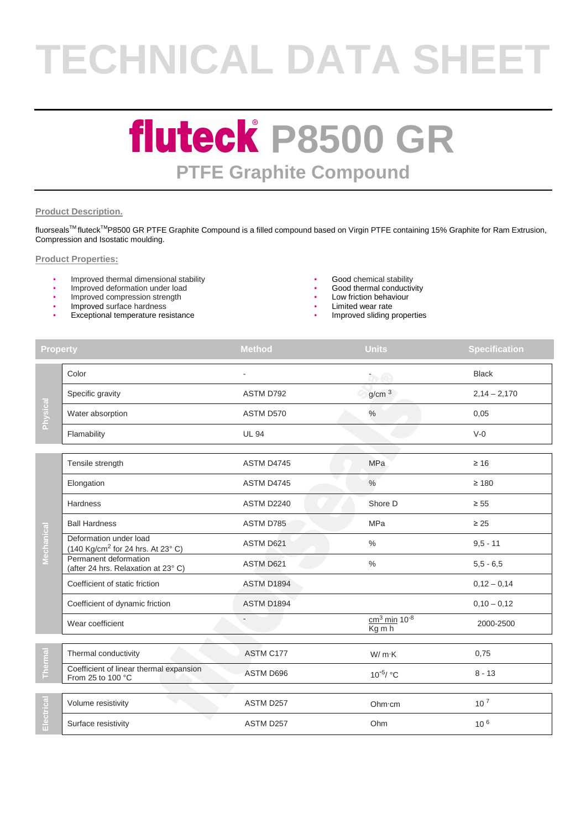# **TECHNICAL DATA SHEET**

### **fluteck P8500 GR PTFE Graphite Compound**

#### **Product Description.**

fluorseals<sup>™</sup> fluteck<sup>™</sup>P8500 GR PTFE Graphite Compound is a filled compound based on Virgin PTFE containing 15% Graphite for Ram Extrusion, Compression and Isostatic moulding.

#### **Product Properties:**

- Improved thermal dimensional stability and the stability of the Good chemical stability of the metal stability of the metal stability of the metal conductivity of the metal stability of the metal conductivity of the meta
- Improved deformation under load
- Improved compression strength
- Improved surface hardness
- Exceptional temperature resistance
- 
- 
- Low friction behaviour
- 
- Limited wear rate<br>Improved sliding properties

| <b>Property</b> |                                                                         | <b>Method</b>    | <b>Units</b>                           | <b>Specification</b> |
|-----------------|-------------------------------------------------------------------------|------------------|----------------------------------------|----------------------|
| Physical        | Color                                                                   |                  | $\overline{\alpha}$                    | <b>Black</b>         |
|                 | Specific gravity                                                        | ASTM D792        | g/cm <sup>3</sup>                      | $2,14 - 2,170$       |
|                 | Water absorption                                                        | ASTM D570        | $\%$                                   | 0,05                 |
|                 | Flamability                                                             | <b>UL 94</b>     |                                        | $V-0$                |
|                 | Tensile strength                                                        | ASTM D4745       | <b>MPa</b>                             | $\geq 16$            |
|                 | Elongation                                                              | ASTM D4745       | $\%$                                   | $\geq 180$           |
|                 | <b>Hardness</b>                                                         | ASTM D2240       | Shore D                                | $\geq 55$            |
|                 | <b>Ball Hardness</b>                                                    | ASTM D785        | <b>MPa</b>                             | $\geq 25$            |
| Mechanical      | Deformation under load<br>(140 Kg/cm <sup>2</sup> for 24 hrs. At 23° C) | ASTM D621        | $\frac{0}{0}$                          | $9,5 - 11$           |
|                 | Permanent deformation<br>(after 24 hrs. Relaxation at 23°C)             | <b>ASTM D621</b> | %                                      | $5,5 - 6,5$          |
|                 | Coefficient of static friction                                          | ASTM D1894       |                                        | $0,12 - 0,14$        |
|                 | Coefficient of dynamic friction                                         | ASTM D1894       |                                        | $0,10 - 0,12$        |
|                 | Wear coefficient                                                        |                  | $cm3$ min 10 <sup>-8</sup><br>$Kg$ m h | 2000-2500            |
|                 | Thermal conductivity                                                    | ASTM C177        | W/mK                                   | 0,75                 |
| Thermal         | Coefficient of linear thermal expansion<br>From 25 to 100 °C            | ASTM D696        | $10^{-5}$ / °C                         | $8 - 13$             |
| Electrical      | Volume resistivity                                                      | ASTM D257        | Ohm·cm                                 | $10^{7}$             |
|                 | Surface resistivity                                                     | ASTM D257        | Ohm                                    | 10 <sup>6</sup>      |